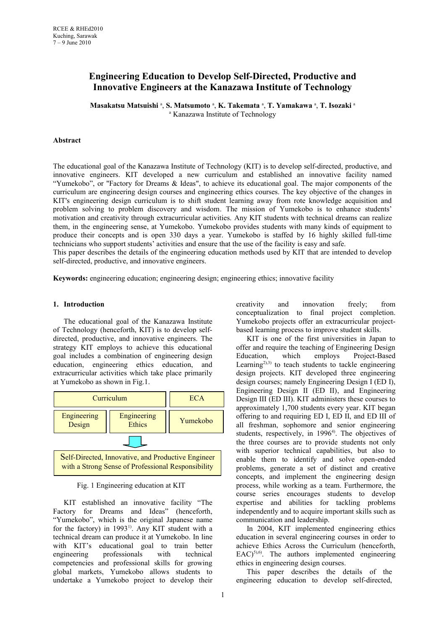# **Engineering Education to Develop Self-Directed, Productive and Innovative Engineers at the Kanazawa Institute of Technology**

Masakatsu Matsuishi <sup>a</sup>, S. Matsumoto <sup>a</sup>, K. Takemata <sup>a</sup>, T. Yamakawa <sup>a</sup>, T. Isozaki <sup>a</sup> <sup>a</sup> Kanazawa Institute of Technology

#### **Abstract**

The educational goal of the Kanazawa Institute of Technology (KIT) is to develop self-directed, productive, and innovative engineers. KIT developed a new curriculum and established an innovative facility named "Yumekobo", or "Factory for Dreams & Ideas", to achieve its educational goal. The major components of the curriculum are engineering design courses and engineering ethics courses. The key objective of the changes in KIT's engineering design curriculum is to shift student learning away from rote knowledge acquisition and problem solving to problem discovery and wisdom. The mission of Yumekobo is to enhance students' motivation and creativity through extracurricular activities. Any KIT students with technical dreams can realize them, in the engineering sense, at Yumekobo. Yumekobo provides students with many kinds of equipment to produce their concepts and is open 330 days a year. Yumekobo is staffed by 16 highly skilled full-time technicians who support students' activities and ensure that the use of the facility is easy and safe.

This paper describes the details of the engineering education methods used by KIT that are intended to develop self-directed, productive, and innovative engineers.

**Keywords:** engineering education; engineering design; engineering ethics; innovative facility

#### **1. Introduction**

The educational goal of the Kanazawa Institute of Technology (henceforth, KIT) is to develop selfdirected, productive, and innovative engineers. The strategy KIT employs to achieve this educational goal includes a combination of engineering design education, engineering ethics education, and extracurricular activities which take place primarily at Yumekobo as shown in Fig.1.



Fig. 1 Engineering education at KIT

KIT established an innovative facility "The Factory for Dreams and Ideas" (henceforth, "Yumekobo", which is the original Japanese name for the factory) in  $1993<sup>1</sup>$ . Any KIT student with a technical dream can produce it at Yumekobo. In line with KIT's educational goal to train better engineering professionals with technical competencies and professional skills for growing global markets, Yumekobo allows students to undertake a Yumekobo project to develop their

creativity and innovation freely; from conceptualization to final project completion. Yumekobo projects offer an extracurricular projectbased learning process to improve student skills.

KIT is one of the first universities in Japan to offer and require the teaching of Engineering Design Education, which employs Project-Based Learning<sup>2),3)</sup> to teach students to tackle engineering design projects. KIT developed three engineering design courses; namely Engineering Design I (ED I), Engineering Design II (ED II), and Engineering Design III (ED III). KIT administers these courses to approximately 1,700 students every year. KIT began offering to and requiring ED I, ED II, and ED III of all freshman, sophomore and senior engineering students, respectively, in 1996<sup>4</sup>. The objectives of the three courses are to provide students not only with superior technical capabilities, but also to enable them to identify and solve open-ended problems, generate a set of distinct and creative concepts, and implement the engineering design process, while working as a team. Furthermore, the course series encourages students to develop expertise and abilities for tackling problems independently and to acquire important skills such as communication and leadership.

In 2004, KIT implemented engineering ethics education in several engineering courses in order to achieve Ethics Across the Curriculum (henceforth,  $EAC$ )<sup>5),6)</sup>. The authors implemented engineering ethics in engineering design courses.

This paper describes the details of the engineering education to develop self-directed,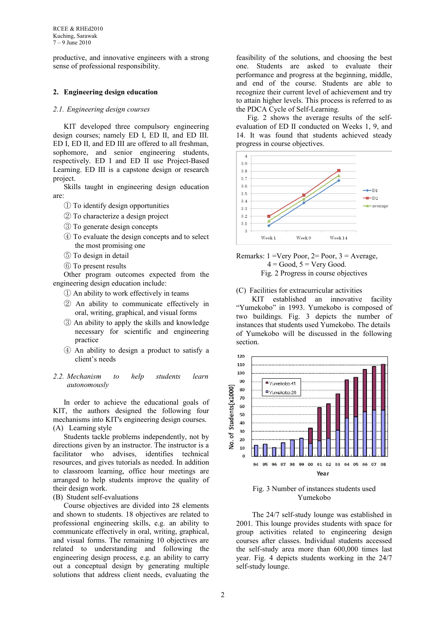productive, and innovative engineers with a strong sense of professional responsibility.

## **2. Engineering design education**

## *2.1. Engineering design courses*

KIT developed three compulsory engineering design courses; namely ED I, ED II, and ED III. ED I, ED II, and ED III are offered to all freshman, sophomore, and senior engineering students, respectively. ED I and ED II use Project-Based Learning. ED III is a capstone design or research project.

Skills taught in engineering design education are:

- ① To identify design opportunities
- ② To characterize a design project
- ③ To generate design concepts
- ④ To evaluate the design concepts and to select the most promising one
- ⑤ To design in detail
- ⑥ To present results

Other program outcomes expected from the engineering design education include:

- ① An ability to work effectively in teams
- ② An ability to communicate effectively in oral, writing, graphical, and visual forms
- ③ An ability to apply the skills and knowledge necessary for scientific and engineering practice
- ④ An ability to design a product to satisfy a client's needs

#### *2.2. Mechanism to help students learn autonomously*

In order to achieve the educational goals of KIT, the authors designed the following four mechanisms into KIT's engineering design courses. (A) Learning style

Students tackle problems independently, not by directions given by an instructor. The instructor is a facilitator who advises, identifies technical resources, and gives tutorials as needed. In addition to classroom learning, office hour meetings are arranged to help students improve the quality of their design work.

(B) Student self-evaluations

Course objectives are divided into 28 elements and shown to students. 18 objectives are related to professional engineering skills, e.g. an ability to communicate effectively in oral, writing, graphical, and visual forms. The remaining 10 objectives are related to understanding and following the engineering design process, e.g. an ability to carry out a conceptual design by generating multiple solutions that address client needs, evaluating the

feasibility of the solutions, and choosing the best one. Students are asked to evaluate their performance and progress at the beginning, middle, and end of the course. Students are able to recognize their current level of achievement and try to attain higher levels. This process is referred to as the PDCA Cycle of Self-Learning.

Fig. 2 shows the average results of the selfevaluation of ED II conducted on Weeks 1, 9, and 14. It was found that students achieved steady progress in course objectives.





Fig. 2 Progress in course objectives

### (C) Facilities for extracurricular activities

KIT established an innovative facility "Yumekobo" in 1993. Yumekobo is composed of two buildings. Fig. 3 depicts the number of instances that students used Yumekobo. The details of Yumekobo will be discussed in the following section.



Fig. 3 Number of instances students used Yumekobo

The 24/7 self-study lounge was established in 2001. This lounge provides students with space for group activities related to engineering design courses after classes. Individual students accessed the self-study area more than 600,000 times last year. Fig. 4 depicts students working in the 24/7 self-study lounge.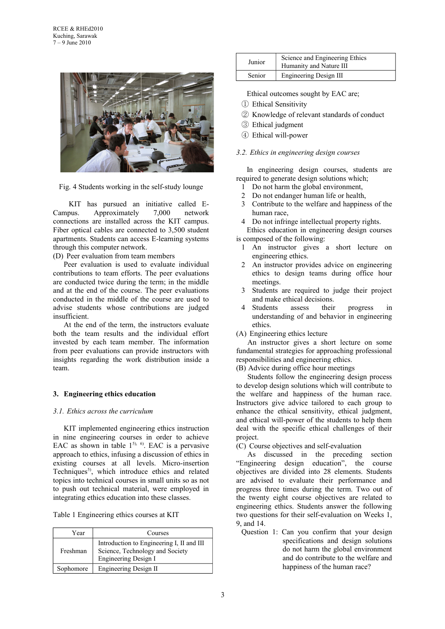

Fig. 4 Students working in the self-study lounge

KIT has pursued an initiative called E-Campus. Approximately 7,000 network connections are installed across the KIT campus. Fiber optical cables are connected to 3,500 student apartments. Students can access E-learning systems through this computer network.

(D) Peer evaluation from team members

Peer evaluation is used to evaluate individual contributions to team efforts. The peer evaluations are conducted twice during the term; in the middle and at the end of the course. The peer evaluations conducted in the middle of the course are used to advise students whose contributions are judged insufficient.

At the end of the term, the instructors evaluate both the team results and the individual effort invested by each team member. The information from peer evaluations can provide instructors with insights regarding the work distribution inside a team.

## **3. Engineering ethics education**

#### *3.1. Ethics across the curriculum*

KIT implemented engineering ethics instruction in nine engineering courses in order to achieve EAC as shown in table  $1^{5}$ ,  $6$ . EAC is a pervasive approach to ethics, infusing a discussion of ethics in existing courses at all levels. Micro-insertion Techniques<sup>5)</sup>, which introduce ethics and related topics into technical courses in small units so as not to push out technical material, were employed in integrating ethics education into these classes.

Table 1 Engineering ethics courses at KIT

| Year      | Courses                                                                                                     |  |
|-----------|-------------------------------------------------------------------------------------------------------------|--|
| Freshman  | Introduction to Engineering I, II and III<br>Science, Technology and Society<br><b>Engineering Design I</b> |  |
| Sophomore | Engineering Design II                                                                                       |  |

| Junior | Science and Engineering Ethics<br>Humanity and Nature III |  |
|--------|-----------------------------------------------------------|--|
| Senior | Engineering Design III                                    |  |

Ethical outcomes sought by EAC are;

- ① Ethical Sensitivity
- ② Knowledge of relevant standards of conduct
- ③ Ethical judgment
- ④ Ethical will-power

## *3.2. Ethics in engineering design courses*

In engineering design courses, students are required to generate design solutions which;

- 1 Do not harm the global environment,
- 2 Do not endanger human life or health,
- 3 Contribute to the welfare and happiness of the human race,

4 Do not infringe intellectual property rights.

Ethics education in engineering design courses is composed of the following:

- 1 An instructor gives a short lecture on engineering ethics.
- 2 An instructor provides advice on engineering ethics to design teams during office hour meetings.
- 3 Students are required to judge their project and make ethical decisions.
- 4 Students assess their progress in understanding of and behavior in engineering ethics.
- (A) Engineering ethics lecture

An instructor gives a short lecture on some fundamental strategies for approaching professional responsibilities and engineering ethics.

(B) Advice during office hour meetings

Students follow the engineering design process to develop design solutions which will contribute to the welfare and happiness of the human race. Instructors give advice tailored to each group to enhance the ethical sensitivity, ethical judgment, and ethical will-power of the students to help them deal with the specific ethical challenges of their project.

(C) Course objectives and self-evaluation

As discussed in the preceding section "Engineering design education", the course objectives are divided into 28 elements. Students are advised to evaluate their performance and progress three times during the term. Two out of the twenty eight course objectives are related to engineering ethics. Students answer the following two questions for their self-evaluation on Weeks 1, 9, and 14.

Question 1: Can you confirm that your design specifications and design solutions do not harm the global environment and do contribute to the welfare and happiness of the human race?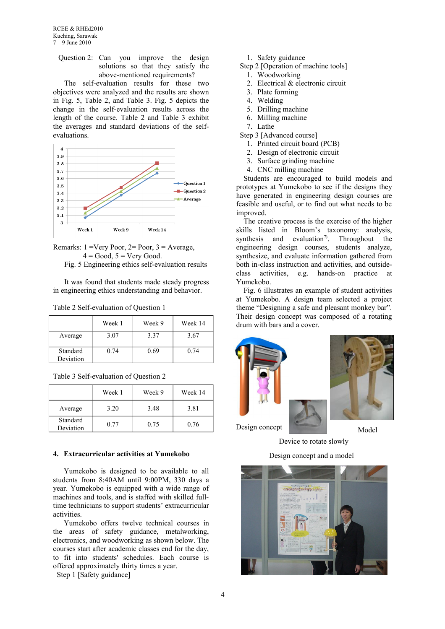RCEE & RHEd2010 Kuching, Sarawak 7 – 9 June 2010

Question 2: Can you improve the design solutions so that they satisfy the above-mentioned requirements?

The self-evaluation results for these two objectives were analyzed and the results are shown in Fig. 5, Table 2, and Table 3. Fig. 5 depicts the change in the self-evaluation results across the length of the course. Table 2 and Table 3 exhibit the averages and standard deviations of the selfevaluations.



Remarks:  $1 = \text{Very Poor}, 2 = \text{Poor}, 3 = \text{Average},$  $4 = Good$ ,  $5 = Very Good$ .

Fig. 5 Engineering ethics self-evaluation results

It was found that students made steady progress in engineering ethics understanding and behavior.

|                       | Week 1 | Week 9 | Week 14 |
|-----------------------|--------|--------|---------|
| Average               | 3.07   | 3.37   | 3.67    |
| Standard<br>Deviation | 0.74   | 0.69   | 0.74    |

| Table 3 Self-evaluation of Question 2 |  |  |
|---------------------------------------|--|--|
|                                       |  |  |

|                       | Week 1 | Week 9 | Week 14 |
|-----------------------|--------|--------|---------|
| Average               | 3.20   | 3.48   | 3.81    |
| Standard<br>Deviation | 0.77   | 0.75   | 0.76    |

#### **4. Extracurricular activities at Yumekobo**

Yumekobo is designed to be available to all students from 8:40AM until 9:00PM, 330 days a year. Yumekobo is equipped with a wide range of machines and tools, and is staffed with skilled fulltime technicians to support students' extracurricular activities.

Yumekobo offers twelve technical courses in the areas of safety guidance, metalworking, electronics, and woodworking as shown below. The courses start after academic classes end for the day, to fit into students' schedules. Each course is offered approximately thirty times a year.

Step 1 [Safety guidance]

- 1. Safety guidance
- Step 2 [Operation of machine tools]
	- 1. Woodworking
	- 2. Electrical & electronic circuit
	- 3. Plate forming
	- 4. Welding
	- 5. Drilling machine
	- 6. Milling machine
	- 7. Lathe

Step 3 [Advanced course]

- 1. Printed circuit board (PCB)
- 2. Design of electronic circuit
- 3. Surface grinding machine
- 4. CNC milling machine

Students are encouraged to build models and prototypes at Yumekobo to see if the designs they have generated in engineering design courses are feasible and useful, or to find out what needs to be improved.

The creative process is the exercise of the higher skills listed in Bloom's taxonomy: analysis, synthesis and evaluation<sup>7)</sup>. Throughout the engineering design courses, students analyze, synthesize, and evaluate information gathered from both in-class instruction and activities, and outsideclass activities, e.g. hands-on practice at Yumekobo.

Fig. 6 illustrates an example of student activities at Yumekobo. A design team selected a project theme "Designing a safe and pleasant monkey bar". Their design concept was composed of a rotating drum with bars and a cover.





Design concept

Device to rotate slowly

Design concept and a model